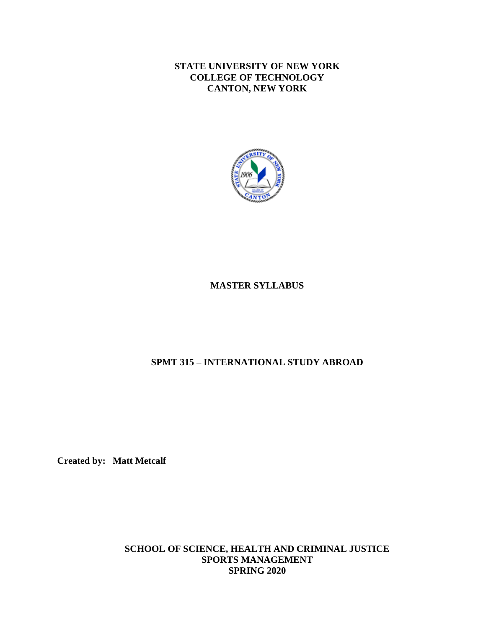**STATE UNIVERSITY OF NEW YORK COLLEGE OF TECHNOLOGY CANTON, NEW YORK**



# **MASTER SYLLABUS**

### **SPMT 315 – INTERNATIONAL STUDY ABROAD**

**Created by: Matt Metcalf**

#### **SCHOOL OF SCIENCE, HEALTH AND CRIMINAL JUSTICE SPORTS MANAGEMENT SPRING 2020**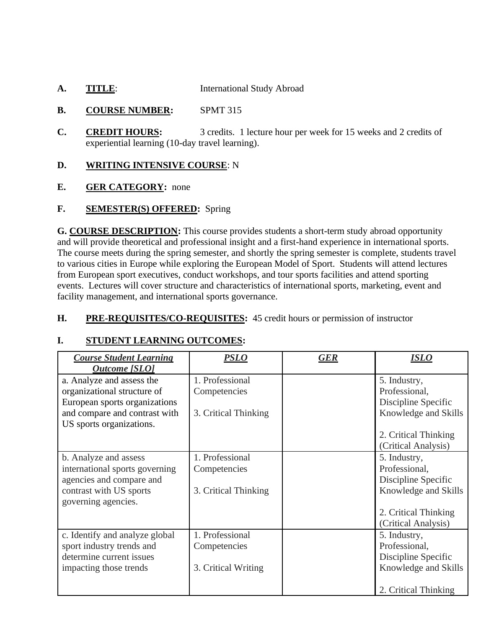- **A. TITLE:** International Study Abroad
- **B. COURSE NUMBER:** SPMT 315
- **C. CREDIT HOURS:** 3 credits. 1 lecture hour per week for 15 weeks and 2 credits of experiential learning (10-day travel learning).

# **D. WRITING INTENSIVE COURSE**: N

**E. GER CATEGORY:** none

#### **F. SEMESTER(S) OFFERED:** Spring

**G. COURSE DESCRIPTION:** This course provides students a short-term study abroad opportunity and will provide theoretical and professional insight and a first-hand experience in international sports. The course meets during the spring semester, and shortly the spring semester is complete, students travel to various cities in Europe while exploring the European Model of Sport. Students will attend lectures from European sport executives, conduct workshops, and tour sports facilities and attend sporting events. Lectures will cover structure and characteristics of international sports, marketing, event and facility management, and international sports governance.

### **H. PRE-REQUISITES/CO-REQUISITES:** 45 credit hours or permission of instructor

# **I. STUDENT LEARNING OUTCOMES:**

| <b>Course Student Learning</b><br><b>Outcome</b> [SLO]    | PSLO                 | GER | ISLO                 |
|-----------------------------------------------------------|----------------------|-----|----------------------|
| a. Analyze and assess the                                 | 1. Professional      |     | 5. Industry,         |
| organizational structure of                               | Competencies         |     | Professional,        |
| European sports organizations                             |                      |     | Discipline Specific  |
| and compare and contrast with<br>US sports organizations. | 3. Critical Thinking |     | Knowledge and Skills |
|                                                           |                      |     | 2. Critical Thinking |
|                                                           |                      |     | (Critical Analysis)  |
| b. Analyze and assess                                     | 1. Professional      |     | 5. Industry,         |
| international sports governing                            | Competencies         |     | Professional,        |
| agencies and compare and                                  |                      |     | Discipline Specific  |
| contrast with US sports<br>governing agencies.            | 3. Critical Thinking |     | Knowledge and Skills |
|                                                           |                      |     | 2. Critical Thinking |
|                                                           |                      |     | (Critical Analysis)  |
| c. Identify and analyze global                            | 1. Professional      |     | 5. Industry,         |
| sport industry trends and                                 | Competencies         |     | Professional,        |
| determine current issues                                  |                      |     | Discipline Specific  |
| impacting those trends                                    | 3. Critical Writing  |     | Knowledge and Skills |
|                                                           |                      |     | 2. Critical Thinking |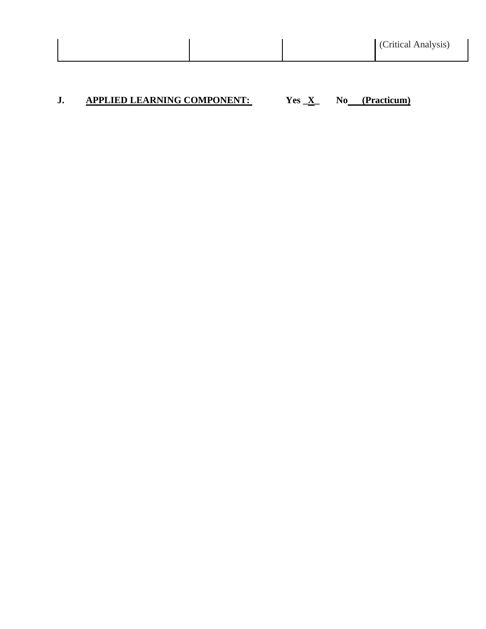|--|

# **J. APPLIED LEARNING COMPONENT: Yes \_X\_ No (Practicum)**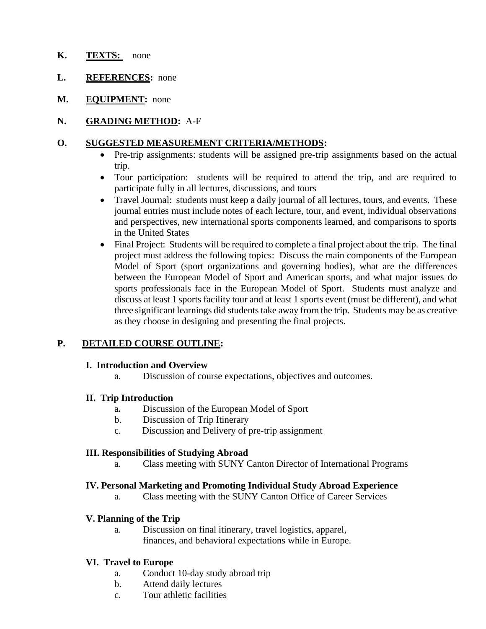### **K. TEXTS:** none

- **L. REFERENCES:** none
- **M. EQUIPMENT:** none
- **N. GRADING METHOD:** A-F

#### **O. SUGGESTED MEASUREMENT CRITERIA/METHODS:**

- Pre-trip assignments: students will be assigned pre-trip assignments based on the actual trip.
- Tour participation: students will be required to attend the trip, and are required to participate fully in all lectures, discussions, and tours
- Travel Journal: students must keep a daily journal of all lectures, tours, and events. These journal entries must include notes of each lecture, tour, and event, individual observations and perspectives, new international sports components learned, and comparisons to sports in the United States
- Final Project: Students will be required to complete a final project about the trip. The final project must address the following topics: Discuss the main components of the European Model of Sport (sport organizations and governing bodies), what are the differences between the European Model of Sport and American sports, and what major issues do sports professionals face in the European Model of Sport. Students must analyze and discuss at least 1 sports facility tour and at least 1 sports event (must be different), and what three significant learnings did students take away from the trip. Students may be as creative as they choose in designing and presenting the final projects.

# **P. DETAILED COURSE OUTLINE:**

#### **I. Introduction and Overview**

a. Discussion of course expectations, objectives and outcomes.

# **II. Trip Introduction**

- a**.** Discussion of the European Model of Sport
- b. Discussion of Trip Itinerary
- c. Discussion and Delivery of pre-trip assignment

#### **III. Responsibilities of Studying Abroad**

a. Class meeting with SUNY Canton Director of International Programs

#### **IV. Personal Marketing and Promoting Individual Study Abroad Experience**

a. Class meeting with the SUNY Canton Office of Career Services

#### **V. Planning of the Trip**

a. Discussion on final itinerary, travel logistics, apparel, finances, and behavioral expectations while in Europe.

# **VI. Travel to Europe**

- a. Conduct 10-day study abroad trip
- b. Attend daily lectures
- c.Tour athletic facilities